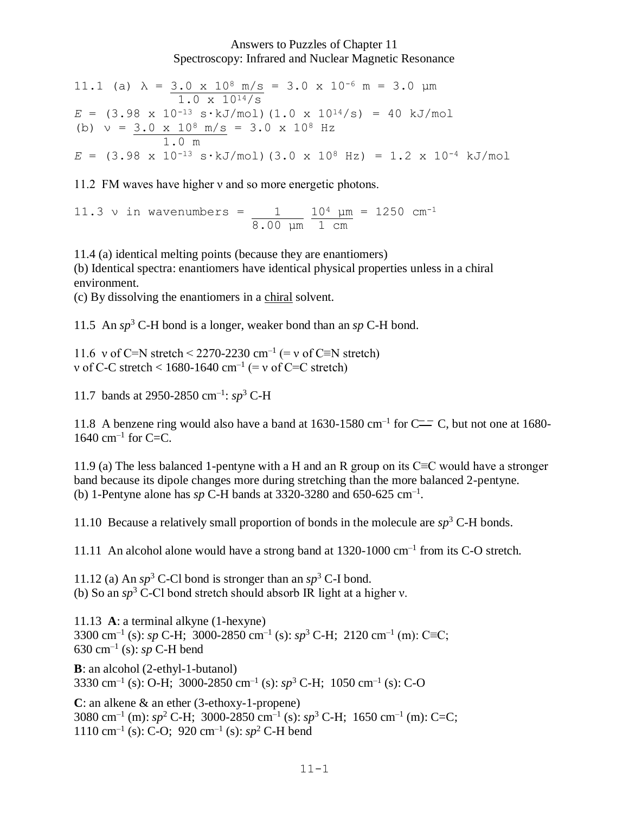## Answers to Puzzles of Chapter 11 Spectroscopy: Infrared and Nuclear Magnetic Resonance

11.1 (a)  $\lambda = 3.0 \times 10^8 \text{ m/s} = 3.0 \times 10^{-6} \text{ m} = 3.0 \text{ }\mu\text{m}$  1.0 x 1014/s  $E = (3.98 \times 10^{-13} \text{ s} \cdot \text{kJ/mol}) (1.0 \times 10^{14}/\text{s}) = 40 \text{ kJ/mol}$ (b)  $v = 3.0 \times 10^8 \text{ m/s} = 3.0 \times 10^8 \text{ Hz}$  1.0 m  $E = (3.98 \times 10^{-13} \text{ s} \cdot \text{kJ/mol})$  (3.0 x 10<sup>8</sup> Hz) = 1.2 x 10<sup>-4</sup> kJ/mol

11.2 FM waves have higher *v* and so more energetic photons.

11.3 v in wavenumbers =  $11.3 \text{ y in}$   $\frac{104}{104}$   $\mu$ m = 1250 cm<sup>-1</sup> 8.00 μm 1 cm

11.4 (a) identical melting points (because they are enantiomers) (b) Identical spectra: enantiomers have identical physical properties unless in a chiral environment.

(c) By dissolving the enantiomers in a chiral solvent.

11.5 An *sp*<sup>3</sup> C-H bond is a longer, weaker bond than an *sp* C-H bond.

11.6 v of C=N stretch < 2270-2230 cm<sup>-1</sup> (= v of C≡N stretch) v of C-C stretch  $< 1680 - 1640$  cm<sup>-1</sup> (= v of C=C stretch)

11.7 bands at 2950-2850 cm–1 : *sp*<sup>3</sup> C-H

11.8 A benzene ring would also have a band at 1630-1580 cm<sup>-1</sup> for C $=$ C, but not one at 1680-1640 cm–1 for C=C.

11.9 (a) The less balanced 1-pentyne with a H and an R group on its C≡C would have a stronger band because its dipole changes more during stretching than the more balanced 2-pentyne. (b) 1-Pentyne alone has  $sp C-H$  bands at 3320-3280 and 650-625 cm<sup>-1</sup>.

11.10 Because a relatively small proportion of bonds in the molecule are  $sp<sup>3</sup>$  C-H bonds.

11.11 An alcohol alone would have a strong band at 1320-1000 cm–1 from its C-O stretch.

11.12 (a) An  $sp^3$  C-Cl bond is stronger than an  $sp^3$  C-I bond. (b) So an *sp*<sup>3</sup> C-Cl bond stretch should absorb IR light at a higher ν.

11.13 **A**: a terminal alkyne (1-hexyne) 3300 cm<sup>-1</sup> (s): *sp* C-H; 3000-2850 cm<sup>-1</sup> (s): *sp*<sup>3</sup> C-H; 2120 cm<sup>-1</sup> (m): C≡C; 630 cm–1 (s): *sp* C-H bend

**B**: an alcohol (2-ethyl-1-butanol) 3330 cm–1 (s): O-H; 3000-2850 cm–1 (s): *sp*<sup>3</sup> C-H; 1050 cm–1 (s): C-O

**C**: an alkene & an ether (3-ethoxy-1-propene) 3080 cm<sup>-1</sup> (m): *sp*<sup>2</sup> C-H; 3000-2850 cm<sup>-1</sup> (s): *sp*<sup>3</sup> C-H; 1650 cm<sup>-1</sup> (m): C=C;  $1110 \text{ cm}^{-1}$  (s): C-O; 920 cm<sup>-1</sup> (s):  $sp^2$  C-H bend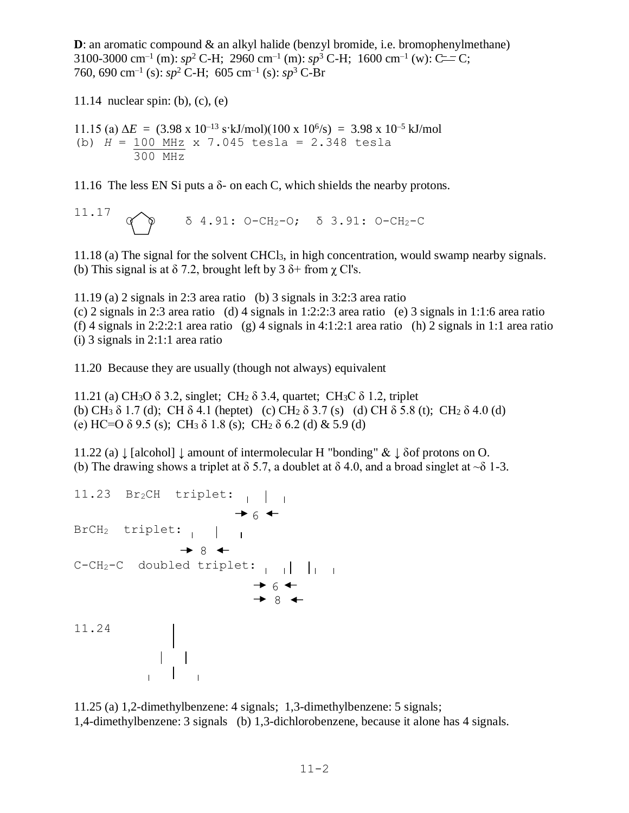**D**: an aromatic compound  $\&$  an alkyl halide (benzyl bromide, i.e. bromophenylmethane) 3100-3000 cm<sup>-1</sup> (m):  $sp^2$  C-H; 2960 cm<sup>-1</sup> (m):  $sp^3$  C-H; 1600 cm<sup>-1</sup> (w): C=C; 760, 690 cm–1 (s): *sp*<sup>2</sup> C-H; 605 cm–1 (s): *sp*<sup>3</sup> C-Br

11.14 nuclear spin: (b), (c), (e)

11.15 (a)  $\Delta E = (3.98 \times 10^{-13} \text{ s} \cdot \text{kJ/mol})(100 \times 10^{6}/\text{s}) = 3.98 \times 10^{-5} \text{ kJ/mol}$ (b) *H* = 100 MHz x 7.045 tesla = 2.348 tesla 300 MHz

11.16 The less EN Si puts a  $\delta$ - on each C, which shields the nearby protons.

11.17 
$$
\sigma
$$
  $\delta$  4.91: O-CH<sub>2</sub>-O;  $\delta$  3.91: O-CH<sub>2</sub>-C

11.18 (a) The signal for the solvent CHCl3, in high concentration, would swamp nearby signals. (b) This signal is at  $\delta$  7.2, brought left by 3  $\delta$ + from  $\chi$  Cl's.

11.19 (a) 2 signals in 2:3 area ratio (b) 3 signals in 3:2:3 area ratio

(c) 2 signals in 2:3 area ratio (d) 4 signals in 1:2:2:3 area ratio (e) 3 signals in 1:1:6 area ratio (f) 4 signals in 2:2:2:1 area ratio (g) 4 signals in 4:1:2:1 area ratio (h) 2 signals in 1:1 area ratio (i) 3 signals in 2:1:1 area ratio

11.20 Because they are usually (though not always) equivalent

11.21 (a) CH<sub>3</sub>O  $\delta$  3.2, singlet; CH<sub>2</sub>  $\delta$  3.4, quartet; CH<sub>3</sub>C  $\delta$  1.2, triplet (b) CH<sub>3</sub>  $\delta$  1.7 (d); CH $\delta$  4.1 (heptet) (c) CH<sub>2</sub>  $\delta$  3.7 (s) (d) CH $\delta$  5.8 (t); CH<sub>2</sub>  $\delta$  4.0 (d) (e) HC=O  $\delta$  9.5 (s); CH<sub>3</sub>  $\delta$  1.8 (s); CH<sub>2</sub>  $\delta$  6.2 (d) & 5.9 (d)

11.22 (a)  $\downarrow$  [alcohol]  $\downarrow$  amount of intermolecular H "bonding" &  $\downarrow$  δof protons on O. (b) The drawing shows a triplet at  $\delta$  5.7, a doublet at  $\delta$  4.0, and a broad singlet at  $\sim \delta$  1-3.

```
11.23 Br<sub>2</sub>CH triplet: \vert \vert\rightarrow 6 \rightarrowBrCH2 triplet:
\rightarrow 8
C-CH2-C doubled triplet:
\rightarrow 6
\rightarrow 8
11.24
           \begin{array}{c|c} & & \\ & 1 & 1 \end{array}
```
11.25 (a) 1,2-dimethylbenzene: 4 signals; 1,3-dimethylbenzene: 5 signals; 1,4-dimethylbenzene: 3 signals (b) 1,3-dichlorobenzene, because it alone has 4 signals.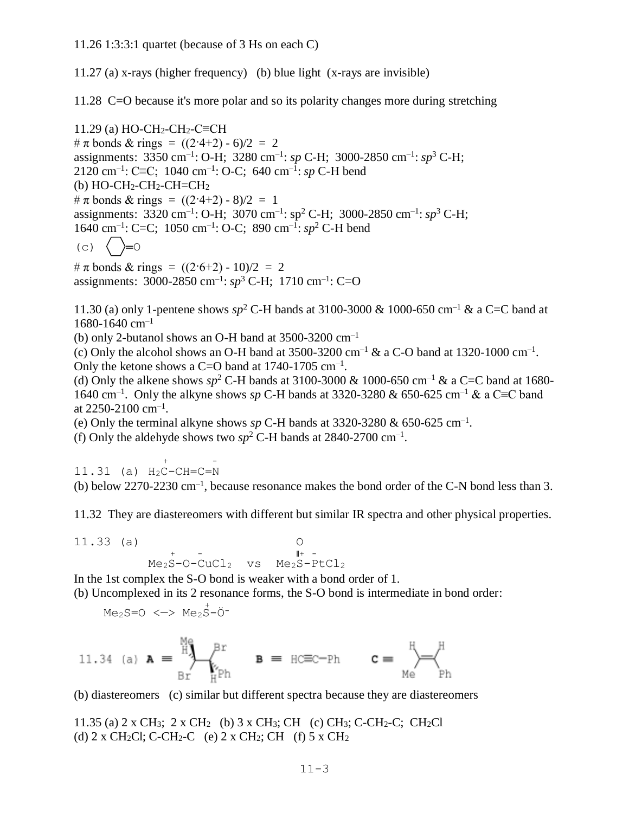11.27 (a) x-rays (higher frequency) (b) blue light (x-rays are invisible)

11.28 C=O because it's more polar and so its polarity changes more during stretching

11.29 (a) HO-CH<sub>2</sub>-CH<sub>2</sub>-C≡CH  $\#\pi$  bonds & rings =  $((2.4+2) - 6)/2 = 2$ assignments: 3350 cm<sup>-1</sup>: O-H; 3280 cm<sup>-1</sup>: *sp* C-H; 3000-2850 cm<sup>-1</sup>: *sp*<sup>3</sup> C-H; 2120 cm–1 : C≡C; 1040 cm–1 : O-C; 640 cm–1 : *sp* C-H bend (b)  $HO-CH_2-CH_2-CH=CH_2$ #  $\pi$  bonds & rings =  $((2.4+2) - 8)/2 = 1$ assignments: 3320 cm<sup>-1</sup>: O-H; 3070 cm<sup>-1</sup>: sp<sup>2</sup> C-H; 3000-2850 cm<sup>-1</sup>: sp<sup>3</sup> C-H; 1640 cm–1 : C=C; 1050 cm–1 : O-C; 890 cm–1 : *sp*<sup>2</sup> C-H bend  $(c)$   $\langle \rangle = 0$ #  $\pi$  bonds & rings =  $((2.6+2) - 10)/2 = 2$ 

assignments: 3000-2850 cm–1 : *sp*<sup>3</sup> C-H; 1710 cm–1 : C=O

11.30 (a) only 1-pentene shows  $sp^2$  C-H bands at 3100-3000 & 1000-650 cm<sup>-1</sup> & a C=C band at  $1680 - 1640$  cm<sup>-1</sup>

(b) only 2-butanol shows an O-H band at  $3500-3200$  cm<sup>-1</sup>

(c) Only the alcohol shows an O-H band at  $3500-3200$  cm<sup>-1</sup> & a C-O band at  $1320-1000$  cm<sup>-1</sup>. Only the ketone shows a C=O band at  $1740-1705$  cm<sup>-1</sup>.

(d) Only the alkene shows  $sp^2$  C-H bands at 3100-3000 & 1000-650 cm<sup>-1</sup> & a C=C band at 1680-1640 cm–1 . Only the alkyne shows *sp* C-H bands at 3320-3280 & 650-625 cm–1 & a C≡C band at 2250-2100 cm–1 .

(e) Only the terminal alkyne shows  $sp C-H$  bands at 3320-3280  $\&$  650-625 cm<sup>-1</sup>.

(f) Only the aldehyde shows two  $sp^2$  C-H bands at 2840-2700 cm<sup>-1</sup>.

 $+$  -  $-$ 11.31 (a) H2C-CH=C=N (b) below  $2270-2230 \text{ cm}^{-1}$ , because resonance makes the bond order of the C-N bond less than 3.

11.32 They are diastereomers with different but similar IR spectra and other physical properties.

11.33 (a) 0  
\n
$$
Me2S-O-CuCl2 vs Me2S-PtCl2
$$

In the 1st complex the S-O bond is weaker with a bond order of 1. (b) Uncomplexed in its 2 resonance forms, the S-O bond is intermediate in bond order: <sup>+</sup>

$$
\text{Me}_2\text{S=O} \iff \text{Me}_2\text{S}-\text{O}^-
$$

$$
\text{11.34 (a) } \textbf{A} = \overset{\text{Me}}{\underset{\text{Br}}{\text{H}}} \overset{\text{Me}}{\underset{\text{H}^{\text{Ph}}}{\text{H}}} \textbf{B} = \text{HCEC-Ph} \qquad \textbf{C} = \overset{\text{H}}{\underset{\text{Me}}{\text{H}}} \overset{\text{H}}{\underset{\text{Ph}}{\text{H}}}
$$

(b) diastereomers (c) similar but different spectra because they are diastereomers

11.35 (a) 2 x CH3; 2 x CH2 (b) 3 x CH3; CH (c) CH3; C-CH2-C; CH2Cl (d)  $2 \times CH_2Cl$ ; C-CH<sub>2</sub>-C (e)  $2 \times CH_2$ ; CH (f)  $5 \times CH_2$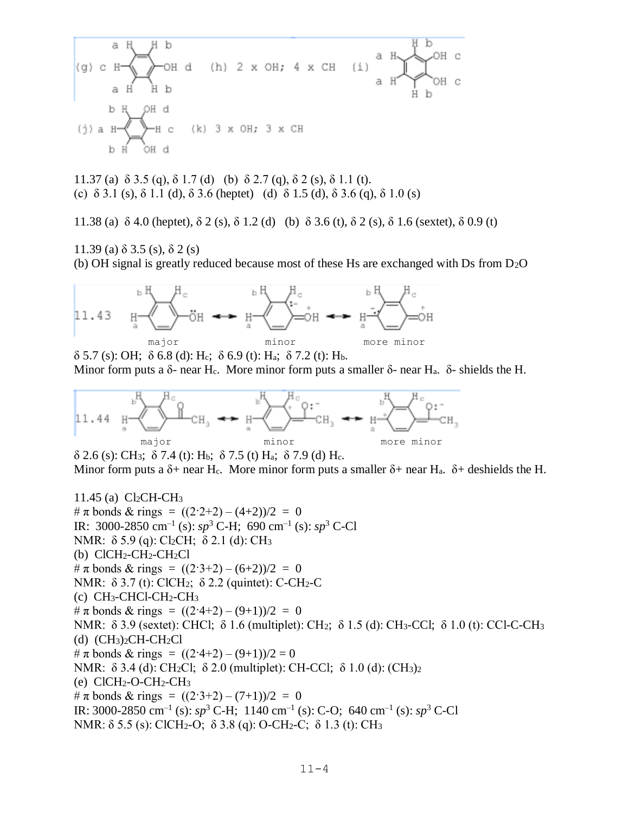$$
(g) c H \n\begin{array}{c}\n\begin{array}{c}\n\text{a H b} \\
\text{b H b} \\
\text{b H b}\n\end{array} \\
\text{b H d} \\
\text{c H d}\n\end{array}
$$
\n
$$
(h) 2 x OH; 4 x CH (i) \n\begin{array}{c}\n\text{a H b} \\
\text{c H b} \\
\text{d H b}\n\end{array}
$$
\n
$$
(i) a H \n\begin{array}{c}\n\text{a H b} \\
\text{c H b} \\
\text{d H b}\n\end{array}
$$

11.37 (a)  $\delta$  3.5 (q),  $\delta$  1.7 (d) (b)  $\delta$  2.7 (q),  $\delta$  2 (s),  $\delta$  1.1 (t). (c)  $\delta$  3.1 (s),  $\delta$  1.1 (d),  $\delta$  3.6 (heptet) (d)  $\delta$  1.5 (d),  $\delta$  3.6 (q),  $\delta$  1.0 (s)

11.38 (a) δ 4.0 (heptet), δ 2 (s), δ 1.2 (d) (b) δ 3.6 (t), δ 2 (s), δ 1.6 (sextet), δ 0.9 (t)

11.39 (a) δ 3.5 (s), δ 2 (s)

(b) OH signal is greatly reduced because most of these Hs are exchanged with Ds from D2O



 $\delta$  5.7 (s): OH;  $\delta$  6.8 (d): H<sub>c</sub>;  $\delta$  6.9 (t): H<sub>a</sub>;  $\delta$  7.2 (t): H<sub>b</sub>. Minor form puts a δ- near H<sub>c</sub>. More minor form puts a smaller δ- near H<sub>a</sub>. δ- shields the H.



δ 2.6 (s): CH<sub>3</sub>; δ 7.4 (t): H<sub>b</sub>; δ 7.5 (t) H<sub>a</sub>; δ 7.9 (d) H<sub>c</sub>. Minor form puts a  $\delta$ + near H<sub>c</sub>. More minor form puts a smaller  $\delta$ + near H<sub>a</sub>.  $\delta$ + deshields the H.

11.45 (a) Cl2CH-CH<sup>3</sup> #  $\pi$  bonds & rings =  $((2.2+2)-(4+2))/2 = 0$ IR: 3000-2850 cm–1 (s): *sp*<sup>3</sup> C-H; 690 cm–1 (s): *sp*<sup>3</sup> C-Cl NMR: δ 5.9 (q): Cl2CH; δ 2.1 (d): CH<sup>3</sup> (b)  $ClCH_2-CH_2-CH_2Cl$ #  $\pi$  bonds & rings =  $((2.3+2)-(6+2))/2 = 0$ NMR: δ 3.7 (t): ClCH<sub>2</sub>; δ 2.2 (quintet): C-CH<sub>2</sub>-C (c) CH3-CHCl-CH2-CH<sup>3</sup>  $\#\pi$  bonds & rings =  $((2.4+2)-(9+1))/2 = 0$ NMR: δ 3.9 (sextet): CHCl; δ 1.6 (multiplet): CH2; δ 1.5 (d): CH3-CCl; δ 1.0 (t): CCl-C-CH<sup>3</sup> (d)  $(CH<sub>3</sub>)<sub>2</sub>CH-CH<sub>2</sub>Cl$  $\#\pi$  bonds & rings =  $((2.4+2)-(9+1))/2=0$ NMR: δ 3.4 (d): CH<sub>2</sub>Cl; δ 2.0 (multiplet): CH-CCl; δ 1.0 (d): (CH<sub>3</sub>)<sub>2</sub>  $(e)$  ClCH<sub>2</sub>-O-CH<sub>2</sub>-CH<sub>3</sub> #  $\pi$  bonds & rings =  $((2.3+2)-(7+1))/2 = 0$ IR: 3000-2850 cm<sup>-1</sup> (s):  $sp^3$  C-H; 1140 cm<sup>-1</sup> (s): C-O; 640 cm<sup>-1</sup> (s):  $sp^3$  C-Cl NMR: δ 5.5 (s): ClCH2-O; δ 3.8 (q): O-CH2-C; δ 1.3 (t): CH3